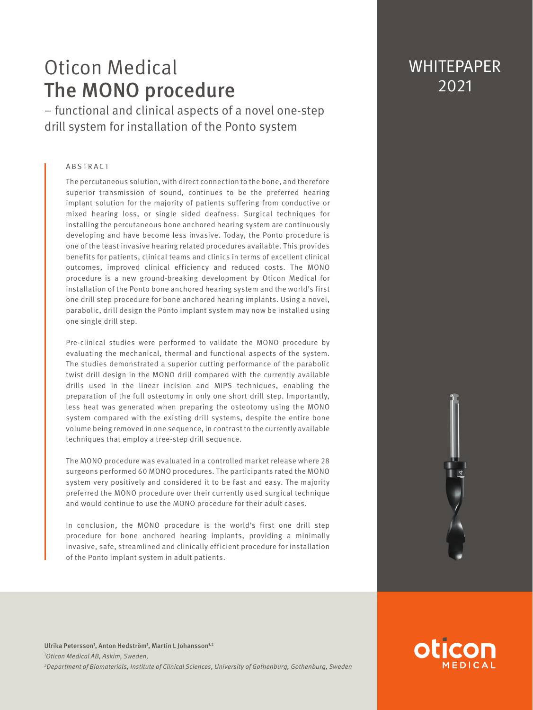# Oticon Medical The MONO procedure

– functional and clinical aspects of a novel one-step drill system for installation of the Ponto system

#### ABSTRACT

The percutaneous solution, with direct connection to the bone, and therefore superior transmission of sound, continues to be the preferred hearing implant solution for the majority of patients suffering from conductive or mixed hearing loss, or single sided deafness. Surgical techniques for installing the percutaneous bone anchored hearing system are continuously developing and have become less invasive. Today, the Ponto procedure is one of the least invasive hearing related procedures available. This provides benefits for patients, clinical teams and clinics in terms of excellent clinical outcomes, improved clinical efficiency and reduced costs. The MONO procedure is a new ground-breaking development by Oticon Medical for installation of the Ponto bone anchored hearing system and the world's first one drill step procedure for bone anchored hearing implants. Using a novel, parabolic, drill design the Ponto implant system may now be installed using one single drill step.

Pre-clinical studies were performed to validate the MONO procedure by evaluating the mechanical, thermal and functional aspects of the system. The studies demonstrated a superior cutting performance of the parabolic twist drill design in the MONO drill compared with the currently available drills used in the linear incision and MIPS techniques, enabling the preparation of the full osteotomy in only one short drill step. Importantly, less heat was generated when preparing the osteotomy using the MONO system compared with the existing drill systems, despite the entire bone volume being removed in one sequence, in contrast to the currently available techniques that employ a tree-step drill sequence.

The MONO procedure was evaluated in a controlled market release where 28 surgeons performed 60 MONO procedures. The participants rated the MONO system very positively and considered it to be fast and easy. The majority preferred the MONO procedure over their currently used surgical technique and would continue to use the MONO procedure for their adult cases.

In conclusion, the MONO procedure is the world's first one drill step procedure for bone anchored hearing implants, providing a minimally invasive, safe, streamlined and clinically efficient procedure for installation of the Ponto implant system in adult patients.

## **WHITEPAPER** 2021

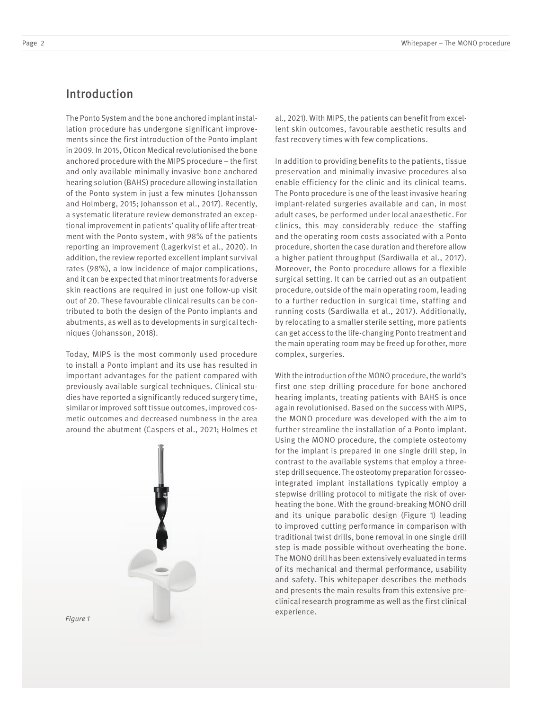## Introduction

The Ponto System and the bone anchored implant installation procedure has undergone significant improvements since the first introduction of the Ponto implant in 2009. In 2015, Oticon Medical revolutionised the bone anchored procedure with the MIPS procedure – the first and only available minimally invasive bone anchored hearing solution (BAHS) procedure allowing installation of the Ponto system in just a few minutes (Johansson and Holmberg, 2015; Johansson et al., 2017). Recently, a systematic literature review demonstrated an exceptional improvement in patients' quality of life after treatment with the Ponto system, with 98% of the patients reporting an improvement (Lagerkvist et al., 2020). In addition, the review reported excellent implant survival rates (98%), a low incidence of major complications, and it can be expected that minor treatments for adverse skin reactions are required in just one follow-up visit out of 20. These favourable clinical results can be contributed to both the design of the Ponto implants and abutments, as well as to developments in surgical techniques (Johansson, 2018).

Today, MIPS is the most commonly used procedure to install a Ponto implant and its use has resulted in important advantages for the patient compared with previously available surgical techniques. Clinical studies have reported a significantly reduced surgery time, similar or improved soft tissue outcomes, improved cosmetic outcomes and decreased numbness in the area around the abutment (Caspers et al., 2021; Holmes et



al., 2021). With MIPS, the patients can benefit from excellent skin outcomes, favourable aesthetic results and fast recovery times with few complications.

In addition to providing benefits to the patients, tissue preservation and minimally invasive procedures also enable efficiency for the clinic and its clinical teams. The Ponto procedure is one of the least invasive hearing implant-related surgeries available and can, in most adult cases, be performed under local anaesthetic. For clinics, this may considerably reduce the staffing and the operating room costs associated with a Ponto procedure, shorten the case duration and therefore allow a higher patient throughput (Sardiwalla et al., 2017). Moreover, the Ponto procedure allows for a flexible surgical setting. It can be carried out as an outpatient procedure, outside of the main operating room, leading to a further reduction in surgical time, staffing and running costs (Sardiwalla et al., 2017). Additionally, by relocating to a smaller sterile setting, more patients can get access to the life-changing Ponto treatment and the main operating room may be freed up for other, more complex, surgeries.

With the introduction of the MONO procedure, the world's first one step drilling procedure for bone anchored hearing implants, treating patients with BAHS is once again revolutionised. Based on the success with MIPS, the MONO procedure was developed with the aim to further streamline the installation of a Ponto implant. Using the MONO procedure, the complete osteotomy for the implant is prepared in one single drill step, in contrast to the available systems that employ a threestep drill sequence. The osteotomy preparation for osseointegrated implant installations typically employ a stepwise drilling protocol to mitigate the risk of overheating the bone. With the ground-breaking MONO drill and its unique parabolic design (Figure 1) leading to improved cutting performance in comparison with traditional twist drills, bone removal in one single drill step is made possible without overheating the bone. The MONO drill has been extensively evaluated in terms of its mechanical and thermal performance, usability and safety. This whitepaper describes the methods and presents the main results from this extensive preclinical research programme as well as the first clinical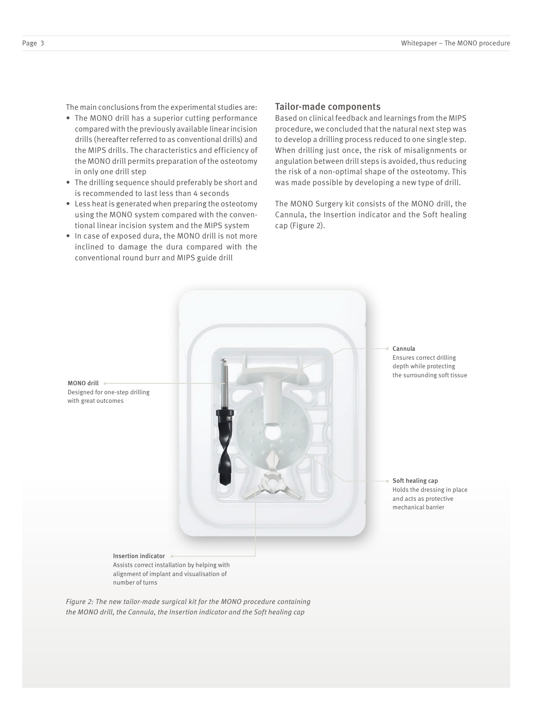The main conclusions from the experimental studies are:

- The MONO drill has a superior cutting performance compared with the previously available linear incision drills (hereafter referred to as conventional drills) and the MIPS drills. The characteristics and efficiency of the MONO drill permits preparation of the osteotomy in only one drill step
- The drilling sequence should preferably be short and is recommended to last less than 4 seconds
- Less heat is generated when preparing the osteotomy using the MONO system compared with the conventional linear incision system and the MIPS system
- In case of exposed dura, the MONO drill is not more inclined to damage the dura compared with the conventional round burr and MIPS guide drill

#### Tailor-made components

Based on clinical feedback and learnings from the MIPS procedure, we concluded that the natural next step was to develop a drilling process reduced to one single step. When drilling just once, the risk of misalignments or angulation between drill steps is avoided, thus reducing the risk of a non-optimal shape of the osteotomy. This was made possible by developing a new type of drill.

The MONO Surgery kit consists of the MONO drill, the Cannula, the Insertion indicator and the Soft healing cap (Figure 2).



*Figure 2: The new tailor-made surgical kit for the MONO procedure containing the MONO drill, the Cannula, the Insertion indicator and the Soft healing cap*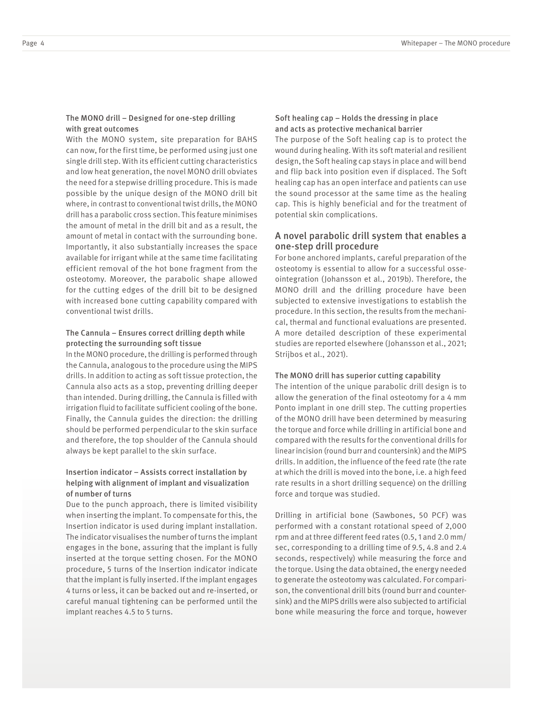#### The MONO drill – Designed for one-step drilling with great outcomes

With the MONO system, site preparation for BAHS can now, for the first time, be performed using just one single drill step. With its efficient cutting characteristics and low heat generation, the novel MONO drill obviates the need for a stepwise drilling procedure. This is made possible by the unique design of the MONO drill bit where, in contrast to conventional twist drills, the MONO drill has a parabolic cross section. This feature minimises the amount of metal in the drill bit and as a result, the amount of metal in contact with the surrounding bone. Importantly, it also substantially increases the space available for irrigant while at the same time facilitating efficient removal of the hot bone fragment from the osteotomy. Moreover, the parabolic shape allowed for the cutting edges of the drill bit to be designed with increased bone cutting capability compared with conventional twist drills.

#### The Cannula – Ensures correct drilling depth while protecting the surrounding soft tissue

In the MONO procedure, the drilling is performed through the Cannula, analogous to the procedure using the MIPS drills. In addition to acting as soft tissue protection, the Cannula also acts as a stop, preventing drilling deeper than intended. During drilling, the Cannula is filled with irrigation fluid to facilitate sufficient cooling of the bone. Finally, the Cannula guides the direction: the drilling should be performed perpendicular to the skin surface and therefore, the top shoulder of the Cannula should always be kept parallel to the skin surface.

#### Insertion indicator – Assists correct installation by helping with alignment of implant and visualization of number of turns

Due to the punch approach, there is limited visibility when inserting the implant. To compensate for this, the Insertion indicator is used during implant installation. The indicator visualises the number of turns the implant engages in the bone, assuring that the implant is fully inserted at the torque setting chosen. For the MONO procedure, 5 turns of the Insertion indicator indicate that the implant is fully inserted. If the implant engages 4 turns or less, it can be backed out and re-inserted, or careful manual tightening can be performed until the implant reaches 4.5 to 5 turns.

#### Soft healing cap – Holds the dressing in place and acts as protective mechanical barrier

The purpose of the Soft healing cap is to protect the wound during healing. With its soft material and resilient design, the Soft healing cap stays in place and will bend and flip back into position even if displaced. The Soft healing cap has an open interface and patients can use the sound processor at the same time as the healing cap. This is highly beneficial and for the treatment of potential skin complications.

#### A novel parabolic drill system that enables a one-step drill procedure

For bone anchored implants, careful preparation of the osteotomy is essential to allow for a successful osseointegration (Johansson et al., 2019b). Therefore, the MONO drill and the drilling procedure have been subjected to extensive investigations to establish the procedure. In this section, the results from the mechanical, thermal and functional evaluations are presented. A more detailed description of these experimental studies are reported elsewhere (Johansson et al., 2021; Strijbos et al., 2021).

#### The MONO drill has superior cutting capability

The intention of the unique parabolic drill design is to allow the generation of the final osteotomy for a 4 mm Ponto implant in one drill step. The cutting properties of the MONO drill have been determined by measuring the torque and force while drilling in artificial bone and compared with the results for the conventional drills for linear incision (round burr and countersink) and the MIPS drills. In addition, the influence of the feed rate (the rate at which the drill is moved into the bone, i.e. a high feed rate results in a short drilling sequence) on the drilling force and torque was studied.

Drilling in artificial bone (Sawbones, 50 PCF) was performed with a constant rotational speed of 2,000 rpm and at three different feed rates (0.5, 1 and 2.0 mm/ sec, corresponding to a drilling time of 9.5, 4.8 and 2.4 seconds, respectively) while measuring the force and the torque. Using the data obtained, the energy needed to generate the osteotomy was calculated. For comparison, the conventional drill bits (round burr and countersink) and the MIPS drills were also subjected to artificial bone while measuring the force and torque, however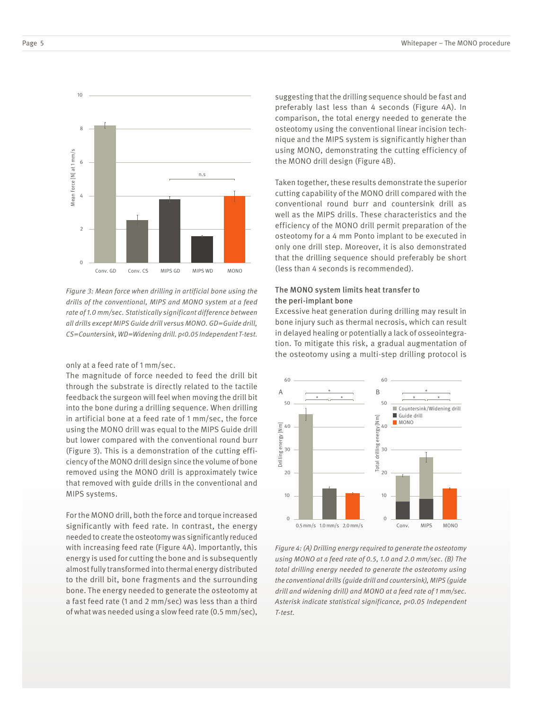

*Figure 3: Mean force when drilling in artificial bone using the drills of the conventional, MIPS and MONO system at a feed rate of 1.0 mm/sec. Statistically significant difference between all drills except MIPS Guide drill versus MONO. GD=Guide drill, CS=Countersink, WD=Widening drill. p<0.05 Independent T-test.*

only at a feed rate of 1 mm/sec.

The magnitude of force needed to feed the drill bit through the substrate is directly related to the tactile feedback the surgeon will feel when moving the drill bit into the bone during a drilling sequence. When drilling in artificial bone at a feed rate of 1 mm/sec, the force using the MONO drill was equal to the MIPS Guide drill but lower compared with the conventional round burr (Figure 3). This is a demonstration of the cutting efficiency of the MONO drill design since the volume of bone removed using the MONO drill is approximately twice that removed with guide drills in the conventional and MIPS systems.

For the MONO drill, both the force and torque increased significantly with feed rate. In contrast, the energy needed to create the osteotomy was significantly reduced with increasing feed rate (Figure 4A). Importantly, this energy is used for cutting the bone and is subsequently almost fully transformed into thermal energy distributed to the drill bit, bone fragments and the surrounding bone. The energy needed to generate the osteotomy at a fast feed rate (1 and 2 mm/sec) was less than a third of what was needed using a slow feed rate (0.5 mm/sec), suggesting that the drilling sequence should be fast and preferably last less than 4 seconds (Figure 4A). In comparison, the total energy needed to generate the osteotomy using the conventional linear incision technique and the MIPS system is significantly higher than using MONO, demonstrating the cutting efficiency of the MONO drill design (Figure 4B).

Taken together, these results demonstrate the superior cutting capability of the MONO drill compared with the conventional round burr and countersink drill as well as the MIPS drills. These characteristics and the efficiency of the MONO drill permit preparation of the osteotomy for a 4 mm Ponto implant to be executed in only one drill step. Moreover, it is also demonstrated that the drilling sequence should preferably be short (less than 4 seconds is recommended).

#### The MONO system limits heat transfer to the peri-implant bone

Excessive heat generation during drilling may result in bone injury such as thermal necrosis, which can result in delayed healing or potentially a lack of osseointegration. To mitigate this risk, a gradual augmentation of the osteotomy using a multi-step drilling protocol is



*Figure 4: (A) Drilling energy required to generate the osteotomy using MONO at a feed rate of 0.5, 1.0 and 2.0 mm/sec. (B) The total drilling energy needed to generate the osteotomy using the conventional drills (guide drill and countersink), MIPS (guide drill and widening drill) and MONO at a feed rate of 1 mm/sec. Asterisk indicate statistical significance, p<0.05 Independent T-test.*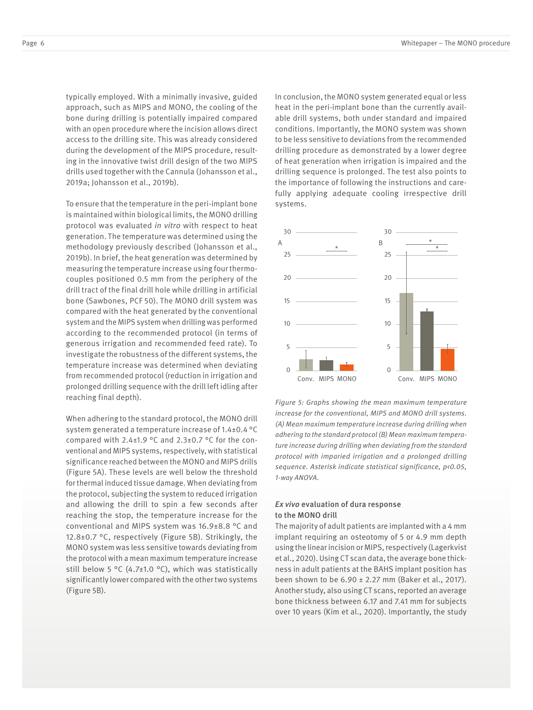typically employed. With a minimally invasive, guided approach, such as MIPS and MONO, the cooling of the bone during drilling is potentially impaired compared with an open procedure where the incision allows direct access to the drilling site. This was already considered during the development of the MIPS procedure, resulting in the innovative twist drill design of the two MIPS drills used together with the Cannula (Johansson et al., 2019a; Johansson et al., 2019b).

To ensure that the temperature in the peri-implant bone is maintained within biological limits, the MONO drilling protocol was evaluated *in vitro* with respect to heat generation. The temperature was determined using the methodology previously described (Johansson et al., 2019b). In brief, the heat generation was determined by measuring the temperature increase using four thermocouples positioned 0.5 mm from the periphery of the drill tract of the final drill hole while drilling in artificial bone (Sawbones, PCF 50). The MONO drill system was compared with the heat generated by the conventional system and the MIPS system when drilling was performed according to the recommended protocol (in terms of generous irrigation and recommended feed rate). To investigate the robustness of the different systems, the temperature increase was determined when deviating from recommended protocol (reduction in irrigation and prolonged drilling sequence with the drill left idling after reaching final depth).

When adhering to the standard protocol, the MONO drill system generated a temperature increase of 1.4±0.4 °C compared with  $2.4\pm1.9$  °C and  $2.3\pm0.7$  °C for the conventional and MIPS systems, respectively, with statistical significance reached between the MONO and MIPS drills (Figure 5A). These levels are well below the threshold for thermal induced tissue damage. When deviating from the protocol, subjecting the system to reduced irrigation and allowing the drill to spin a few seconds after reaching the stop, the temperature increase for the conventional and MIPS system was 16.9±8.8 °C and 12.8±0.7 °C, respectively (Figure 5B). Strikingly, the MONO system was less sensitive towards deviating from the protocol with a mean maximum temperature increase still below 5 °C (4.7±1.0 °C), which was statistically significantly lower compared with the other two systems (Figure 5B).

In conclusion, the MONO system generated equal or less heat in the peri-implant bone than the currently available drill systems, both under standard and impaired conditions. Importantly, the MONO system was shown to be less sensitive to deviations from the recommended drilling procedure as demonstrated by a lower degree of heat generation when irrigation is impaired and the drilling sequence is prolonged. The test also points to the importance of following the instructions and carefully applying adequate cooling irrespective drill systems.



*Figure 5: Graphs showing the mean maximum temperature increase for the conventional, MIPS and MONO drill systems. (A) Mean maximum temperature increase during drilling when adhering to the standard protocol (B) Mean maximum temperature increase during drilling when deviating from the standard protocol with imparied irrigation and a prolonged drilling sequence. Asterisk indicate statistical significance, p<0.05, 1-way ANOVA.*

#### *Ex vivo* evaluation of dura response to the MONO drill

The majority of adult patients are implanted with a 4 mm implant requiring an osteotomy of 5 or 4.9 mm depth using the linear incision or MIPS, respectively (Lagerkvist et al., 2020). Using CT scan data, the average bone thickness in adult patients at the BAHS implant position has been shown to be  $6.90 \pm 2.27$  mm (Baker et al., 2017). Another study, also using CT scans, reported an average bone thickness between 6.17 and 7.41 mm for subjects over 10 years (Kim et al., 2020). Importantly, the study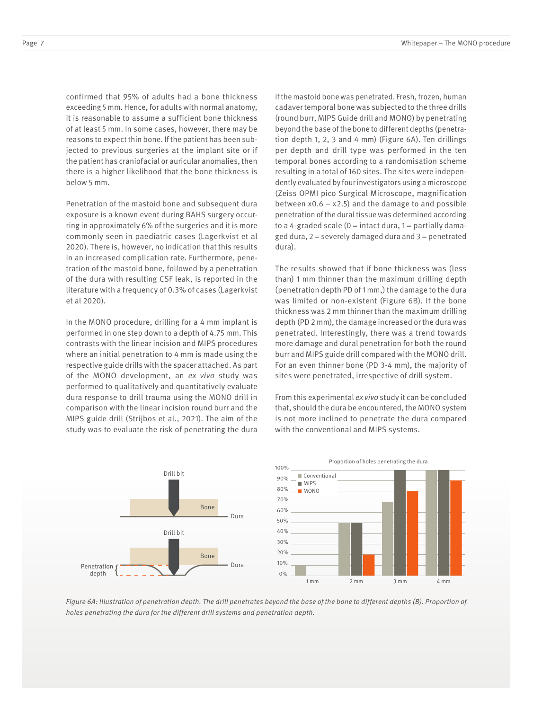confirmed that 95% of adults had a bone thickness exceeding 5 mm. Hence, for adults with normal anatomy, it is reasonable to assume a sufficient bone thickness of at least 5 mm. In some cases, however, there may be reasons to expect thin bone. If the patient has been subjected to previous surgeries at the implant site or if the patient has craniofacial or auricular anomalies, then there is a higher likelihood that the bone thickness is below 5 mm.

Penetration of the mastoid bone and subsequent dura exposure is a known event during BAHS surgery occurring in approximately 6% of the surgeries and it is more commonly seen in paediatric cases (Lagerkvist et al 2020). There is, however, no indication that this results in an increased complication rate. Furthermore, penetration of the mastoid bone, followed by a penetration of the dura with resulting CSF leak, is reported in the literature with a frequency of 0.3% of cases (Lagerkvist et al 2020).

In the MONO procedure, drilling for a 4 mm implant is performed in one step down to a depth of 4.75 mm. This contrasts with the linear incision and MIPS procedures where an initial penetration to 4 mm is made using the respective guide drills with the spacer attached. As part of the MONO development, an *ex vivo* study was performed to qualitatively and quantitatively evaluate dura response to drill trauma using the MONO drill in comparison with the linear incision round burr and the MIPS guide drill (Strijbos et al., 2021). The aim of the study was to evaluate the risk of penetrating the dura

Penetration depth Drill bit Bone Bone Dura Dura Drill bit

if the mastoid bone was penetrated. Fresh, frozen, human cadaver temporal bone was subjected to the three drills (round burr, MIPS Guide drill and MONO) by penetrating beyond the base of the bone to different depths (penetration depth 1, 2, 3 and 4 mm) (Figure 6A). Ten drillings per depth and drill type was performed in the ten temporal bones according to a randomisation scheme resulting in a total of 160 sites. The sites were independently evaluated by four investigators using a microscope (Zeiss OPMI pico Surgical Microscope, magnification between  $x0.6 - x2.5$  and the damage to and possible penetration of the dural tissue was determined according to a 4-graded scale ( $0 =$  intact dura,  $1 =$  partially damaged dura,  $2$  = severely damaged dura and  $3$  = penetrated dura).

The results showed that if bone thickness was (less than) 1 mm thinner than the maximum drilling depth (penetration depth PD of 1 mm,) the damage to the dura was limited or non-existent (Figure 6B). If the bone thickness was 2 mm thinner than the maximum drilling depth (PD 2 mm), the damage increased or the dura was penetrated. Interestingly, there was a trend towards more damage and dural penetration for both the round burr and MIPS guide drill compared with the MONO drill. For an even thinner bone (PD 3-4 mm), the majority of sites were penetrated, irrespective of drill system.

From this experimental *ex vivo* study it can be concluded that, should the dura be encountered, the MONO system is not more inclined to penetrate the dura compared with the conventional and MIPS systems.



*Figure 6A: Illustration of penetration depth. The drill penetrates beyond the base of the bone to different depths (B). Proportion of holes penetrating the dura for the different drill systems and penetration depth.*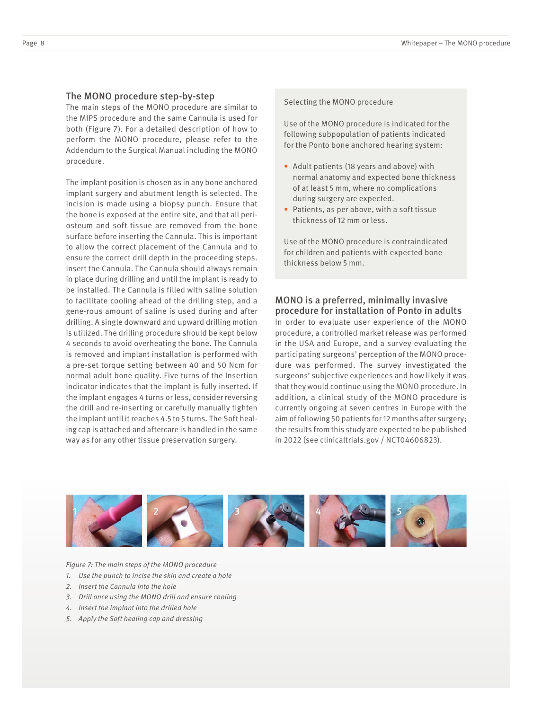#### The MONO procedure step-by-step

The main steps of the MONO procedure are similar to the MIPS procedure and the same Cannula is used for both (Figure 7). For a detailed description of how to perform the MONO procedure, please refer to the Addendum to the Surgical Manual including the MONO procedure.

The implant position is chosen as in any bone anchored implant surgery and abutment length is selected. The incision is made using a biopsy punch. Ensure that the bone is exposed at the entire site, and that all periosteum and soft tissue are removed from the bone surface before inserting the Cannula. This is important to allow the correct placement of the Cannula and to ensure the correct drill depth in the proceeding steps. Insert the Cannula. The Cannula should always remain in place during drilling and until the implant is ready to be installed. The Cannula is filled with saline solution to facilitate cooling ahead of the drilling step, and a gene-rous amount of saline is used during and after drilling. A single downward and upward drilling motion is utilized. The drilling procedure should be kept below 4 seconds to avoid overheating the bone. The Cannula is removed and implant installation is performed with a pre-set torque setting between 40 and 50 Ncm for normal adult bone quality. Five turns of the Insertion indicator indicates that the implant is fully inserted. If the implant engages 4 turns or less, consider reversing the drill and re-inserting or carefully manually tighten the implant until it reaches 4.5 to 5 turns. The Soft healing cap is attached and aftercare is handled in the same way as for any other tissue preservation surgery.

#### Selecting the MONO procedure

Use of the MONO procedure is indicated for the following subpopulation of patients indicated for the Ponto bone anchored hearing system:

- Adult patients (18 years and above) with normal anatomy and expected bone thickness of at least 5 mm, where no complications during surgery are expected.
- Patients, as per above, with a soft tissue thickness of 12 mm or less.

Use of the MONO procedure is contraindicated for children and patients with expected bone thickness below 5 mm.

## MONO is a preferred, minimally invasive procedure for installation of Ponto in adults

In order to evaluate user experience of the MONO procedure, a controlled market release was performed in the USA and Europe, and a survey evaluating the participating surgeons' perception of the MONO procedure was performed. The survey investigated the surgeons' subjective experiences and how likely it was that they would continue using the MONO procedure. In addition, a clinical study of the MONO procedure is currently ongoing at seven centres in Europe with the aim of following 50 patients for 12 months after surgery; the results from this study are expected to be published in 2022 (see clinicaltrials.gov / NCT04606823).



*Figure 7: The main steps of the MONO procedure*

- *1. Use the punch to incise the skin and create a hole*
- *2. Insert the Cannula into the hole*
- *3. Drill once using the MONO drill and ensure cooling*
- *4. Insert the implant into the drilled hole*
- *5. Apply the Soft healing cap and dressing*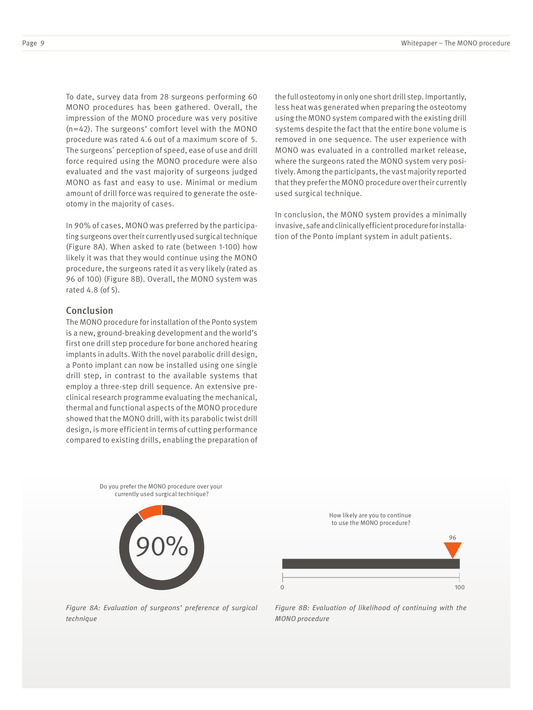To date, survey data from 28 surgeons performing 60 MONO procedures has been gathered. Overall, the impression of the MONO procedure was very positive (n=42). The surgeons' comfort level with the MONO procedure was rated 4.6 out of a maximum score of 5. The surgeons´ perception of speed, ease of use and drill force required using the MONO procedure were also evaluated and the vast majority of surgeons judged MONO as fast and easy to use. Minimal or medium amount of drill force was required to generate the osteotomy in the majority of cases.

In 90% of cases, MONO was preferred by the participating surgeons over their currently used surgical technique (Figure 8A). When asked to rate (between 1-100) how likely it was that they would continue using the MONO procedure, the surgeons rated it as very likely (rated as 96 of 100) (Figure 8B). Overall, the MONO system was rated 4.8 (of 5).

#### Conclusion

The MONO procedure for installation of the Ponto system is a new, ground-breaking development and the world's first one drill step procedure for bone anchored hearing implants in adults. With the novel parabolic drill design, a Ponto implant can now be installed using one single drill step, in contrast to the available systems that employ a three-step drill sequence. An extensive preclinical research programme evaluating the mechanical, thermal and functional aspects of the MONO procedure showed that the MONO drill, with its parabolic twist drill design, is more efficient in terms of cutting performance compared to existing drills, enabling the preparation of the full osteotomy in only one short drill step. Importantly, less heat was generated when preparing the osteotomy using the MONO system compared with the existing drill systems despite the fact that the entire bone volume is removed in one sequence. The user experience with MONO was evaluated in a controlled market release, where the surgeons rated the MONO system very positively. Among the participants, the vast majority reported that they prefer the MONO procedure over their currently used surgical technique.

In conclusion, the MONO system provides a minimally invasive, safe and clinically efficient procedure for installation of the Ponto implant system in adult patients.





100 96 How likely are you to continue to use the MONO procedure?

*Figure 8A: Evaluation of surgeons' preference of surgical technique*

*Figure 8B: Evaluation of likelihood of continuing with the MONO procedure*

 $\Omega$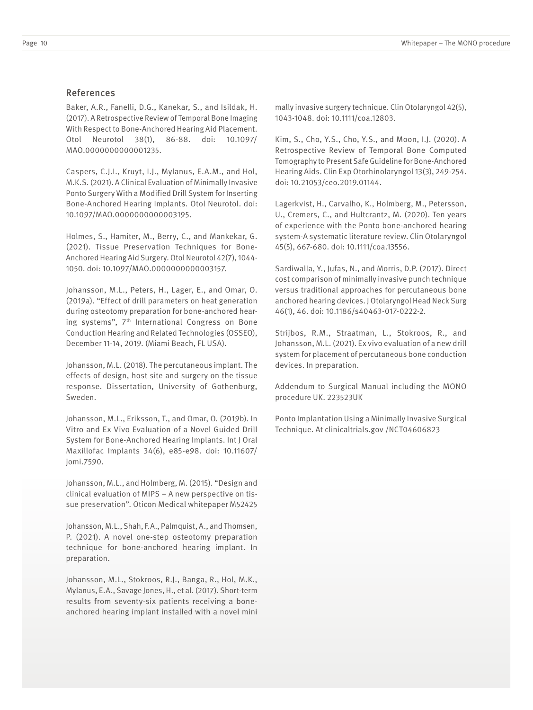#### References

Baker, A.R., Fanelli, D.G., Kanekar, S., and Isildak, H. (2017). A Retrospective Review of Temporal Bone Imaging With Respect to Bone-Anchored Hearing Aid Placement. Otol Neurotol 38(1), 86-88. doi: 10.1097/ MAO.0000000000001235.

Caspers, C.J.I., Kruyt, I.J., Mylanus, E.A.M., and Hol, M.K.S. (2021). A Clinical Evaluation of Minimally Invasive Ponto Surgery With a Modified Drill System for Inserting Bone-Anchored Hearing Implants. Otol Neurotol. doi: 10.1097/MAO.0000000000003195.

Holmes, S., Hamiter, M., Berry, C., and Mankekar, G. (2021). Tissue Preservation Techniques for Bone-Anchored Hearing Aid Surgery. Otol Neurotol 42(7), 1044- 1050. doi: 10.1097/MAO.0000000000003157.

Johansson, M.L., Peters, H., Lager, E., and Omar, O. (2019a). "Effect of drill parameters on heat generation during osteotomy preparation for bone-anchored hearing systems", 7<sup>th</sup> International Congress on Bone Conduction Hearing and Related Technologies (OSSEO), December 11-14, 2019. (Miami Beach, FL USA).

Johansson, M.L. (2018). The percutaneous implant. The effects of design, host site and surgery on the tissue response. Dissertation, University of Gothenburg, Sweden.

Johansson, M.L., Eriksson, T., and Omar, O. (2019b). In Vitro and Ex Vivo Evaluation of a Novel Guided Drill System for Bone-Anchored Hearing Implants. Int J Oral Maxillofac Implants 34(6), e85-e98. doi: 10.11607/ jomi.7590.

Johansson, M.L., and Holmberg, M. (2015). "Design and clinical evaluation of MIPS – A new perspective on tissue preservation". Oticon Medical whitepaper M52425

Johansson, M.L., Shah, F.A., Palmquist, A., and Thomsen, P. (2021). A novel one-step osteotomy preparation technique for bone-anchored hearing implant. In preparation.

Johansson, M.L., Stokroos, R.J., Banga, R., Hol, M.K., Mylanus, E.A., Savage Jones, H., et al. (2017). Short-term results from seventy-six patients receiving a boneanchored hearing implant installed with a novel mini mally invasive surgery technique. Clin Otolaryngol 42(5), 1043-1048. doi: 10.1111/coa.12803.

Kim, S., Cho, Y.S., Cho, Y.S., and Moon, I.J. (2020). A Retrospective Review of Temporal Bone Computed Tomography to Present Safe Guideline for Bone-Anchored Hearing Aids. Clin Exp Otorhinolaryngol 13(3), 249-254. doi: 10.21053/ceo.2019.01144.

Lagerkvist, H., Carvalho, K., Holmberg, M., Petersson, U., Cremers, C., and Hultcrantz, M. (2020). Ten years of experience with the Ponto bone-anchored hearing system-A systematic literature review. Clin Otolaryngol 45(5), 667-680. doi: 10.1111/coa.13556.

Sardiwalla, Y., Jufas, N., and Morris, D.P. (2017). Direct cost comparison of minimally invasive punch technique versus traditional approaches for percutaneous bone anchored hearing devices. J Otolaryngol Head Neck Surg 46(1), 46. doi: 10.1186/s40463-017-0222-2.

Strijbos, R.M., Straatman, L., Stokroos, R., and Johansson, M.L. (2021). Ex vivo evaluation of a new drill system for placement of percutaneous bone conduction devices. In preparation.

Addendum to Surgical Manual including the MONO procedure UK. 223523UK

Ponto Implantation Using a Minimally Invasive Surgical Technique. At clinicaltrials.gov /NCT04606823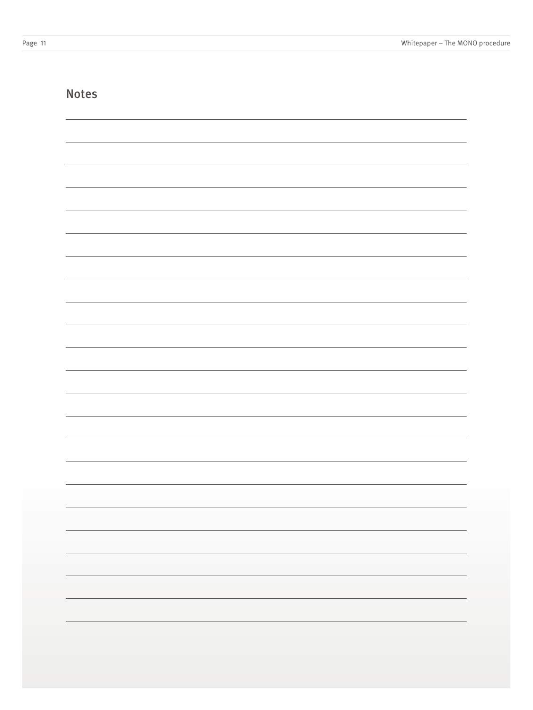|  | w<br>۰. | v<br>٧<br>٧ |  |
|--|---------|-------------|--|
|--|---------|-------------|--|